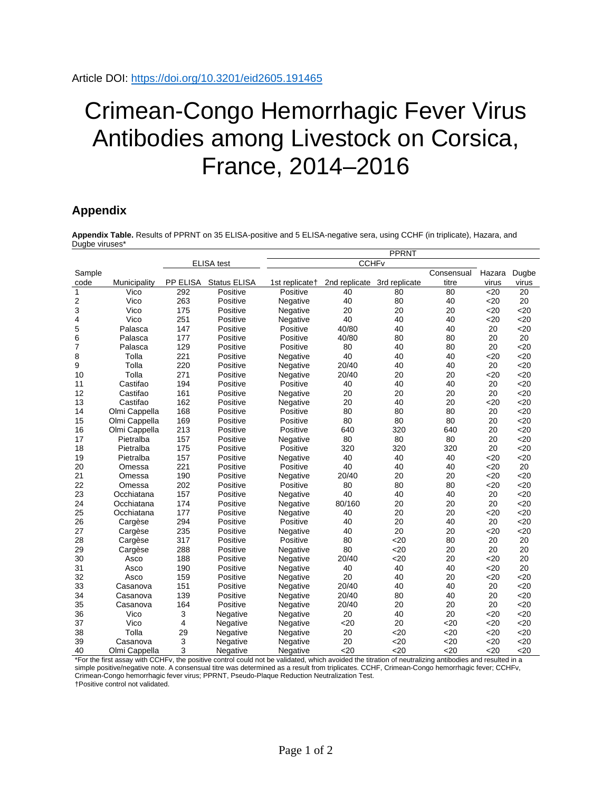## Crimean-Congo Hemorrhagic Fever Virus Antibodies among Livestock on Corsica, France, 2014–2016

## **Appendix**

**Appendix Table.** Results of PPRNT on 35 ELISA-positive and 5 ELISA-negative sera, using CCHF (in triplicate), Hazara, and Dugbe viruses\*

|                |               |                   |              | <b>PPRNT</b>               |                             |     |            |                  |                 |  |
|----------------|---------------|-------------------|--------------|----------------------------|-----------------------------|-----|------------|------------------|-----------------|--|
|                |               | <b>ELISA</b> test |              |                            | <b>CCHF<sub>v</sub></b>     |     |            |                  |                 |  |
| Sample         |               |                   |              |                            |                             |     | Consensual | Hazara           | Dugbe           |  |
| code           | Municipality  | PP ELISA          | Status ELISA | 1st replicate <sup>+</sup> | 2nd replicate 3rd replicate |     | titre      | virus            | virus           |  |
| $\mathbf{1}$   | Vico          | 292               | Positive     | Positive                   | 40                          | 80  | 80         | $\overline{520}$ | $\overline{20}$ |  |
| 2              | Vico          | 263               | Positive     | Negative                   | 40                          | 80  | 40         | $20$             | 20              |  |
| 3              | Vico          | 175               | Positive     | Negative                   | 20                          | 20  | 20         | $20$             | 20              |  |
| 4              | Vico          | 251               | Positive     | Negative                   | 40                          | 40  | 40         | 20               | <20             |  |
| 5              | Palasca       | 147               | Positive     | Positive                   | 40/80                       | 40  | 40         | 20               | 20              |  |
| 6              | Palasca       | 177               | Positive     | Positive                   | 40/80                       | 80  | 80         | 20               | 20              |  |
| $\overline{7}$ | Palasca       | 129               | Positive     | Positive                   | 80                          | 40  | 80         | 20               | $20$            |  |
| 8              | Tolla         | 221               | Positive     | Negative                   | 40                          | 40  | 40         | 20               | 20              |  |
| 9              | Tolla         | 220               | Positive     | Negative                   | 20/40                       | 40  | 40         | 20               | <20             |  |
| 10             | Tolla         | 271               | Positive     | Negative                   | 20/40                       | 20  | 20         | 20               | $20$            |  |
| 11             | Castifao      | 194               | Positive     | Positive                   | 40                          | 40  | 40         | 20               | $20$            |  |
| 12             | Castifao      | 161               | Positive     | Negative                   | 20                          | 20  | 20         | 20               | $20$            |  |
| 13             | Castifao      | 162               | Positive     | Negative                   | 20                          | 40  | 20         | 20               | $<$ 20          |  |
| 14             | Olmi Cappella | 168               | Positive     | Positive                   | 80                          | 80  | 80         | 20               | $20$            |  |
| 15             | Olmi Cappella | 169               | Positive     | Positive                   | 80                          | 80  | 80         | 20               | 20              |  |
| 16             | Olmi Cappella | 213               | Positive     | Positive                   | 640                         | 320 | 640        | 20               | $20$            |  |
| 17             | Pietralba     | 157               | Positive     | Negative                   | 80                          | 80  | 80         | 20               | $20$            |  |
| 18             | Pietralba     | 175               | Positive     | Positive                   | 320                         | 320 | 320        | 20               | 20              |  |
| 19             | Pietralba     | 157               | Positive     | Negative                   | 40                          | 40  | 40         | 20               | 20              |  |
| 20             | Omessa        | 221               | Positive     | Positive                   | 40                          | 40  | 40         | <20              | 20              |  |
| 21             | Omessa        | 190               | Positive     | Negative                   | 20/40                       | 20  | 20         | 20               | 20              |  |
| 22             | Omessa        | 202               | Positive     | Positive                   | 80                          | 80  | 80         | $20$             | $20$            |  |
| 23             | Occhiatana    | 157               | Positive     | Negative                   | 40                          | 40  | 40         | 20               | $20$            |  |
| 24             | Occhiatana    | 174               | Positive     | Negative                   | 80/160                      | 20  | 20         | 20               | <20             |  |
| 25             | Occhiatana    | 177               | Positive     | Negative                   | 40                          | 20  | 20         | 20               | $20$            |  |
| 26             | Cargèse       | 294               | Positive     | Positive                   | 40                          | 20  | 40         | 20               | 20              |  |
| 27             | Cargèse       | 235               | Positive     | Negative                   | 40                          | 20  | 20         | 20               | 20              |  |
| 28             | Cargèse       | 317               | Positive     | Positive                   | 80                          | 20  | 80         | 20               | 20              |  |
| 29             | Cargèse       | 288               | Positive     | Negative                   | 80                          | 20  | 20         | 20               | 20              |  |
| 30             | Asco          | 188               | Positive     | Negative                   | 20/40                       | 20  | 20         | $20$             | 20              |  |
| 31             | Asco          | 190               | Positive     | Negative                   | 40                          | 40  | 40         | 20               | 20              |  |
| 32             | Asco          | 159               | Positive     | Negative                   | 20                          | 40  | 20         | 20               | 20              |  |
| 33             | Casanova      | 151               | Positive     | Negative                   | 20/40                       | 40  | 40         | 20               | $20$            |  |
| 34             | Casanova      | 139               | Positive     | Negative                   | 20/40                       | 80  | 40         | 20               | $20$            |  |
| 35             | Casanova      | 164               | Positive     | Negative                   | 20/40                       | 20  | 20         | 20               | <20             |  |
| 36             | Vico          | 3                 | Negative     | Negative                   | 20                          | 40  | 20         | 20               | $20$            |  |
| 37             | Vico          | 4                 | Negative     | Negative                   | 20                          | 20  | $20$       | $20$             | $20$            |  |
| 38             | Tolla         | 29                | Negative     | Negative                   | 20                          | <20 | $20$       | <20              | 20              |  |
| 39             | Casanova      | 3                 | Negative     | Negative                   | 20                          | 20  | $20$       | $20$             | 20              |  |
| 40             | Olmi Cappella | 3                 | Negative     | Negative                   | $20$                        | 20  | 20         | 20               | 20              |  |

\*For the first assay with CCHFv, the positive control could not be validated, which avoided the titration of neutralizing antibodies and resulted in a simple positive/negative note. A consensual titre was determined as a result from triplicates. CCHF, Crimean-Congo hemorrhagic fever; CCHFv, Crimean-Congo hemorrhagic fever virus; PPRNT, Pseudo-Plaque Reduction Neutralization Test.

†Positive control not validated.